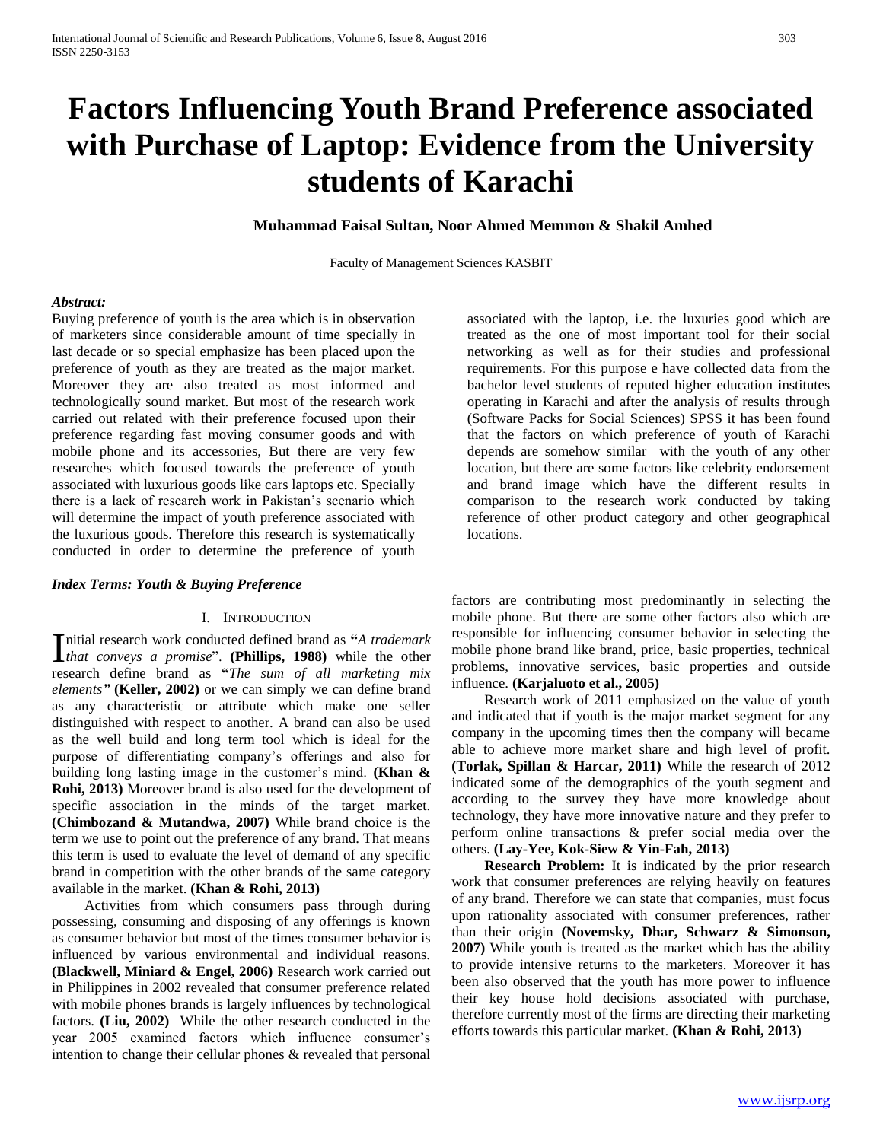# **Factors Influencing Youth Brand Preference associated with Purchase of Laptop: Evidence from the University students of Karachi**

**Muhammad Faisal Sultan, Noor Ahmed Memmon & Shakil Amhed**

Faculty of Management Sciences KASBIT

## *Abstract:*

Buying preference of youth is the area which is in observation of marketers since considerable amount of time specially in last decade or so special emphasize has been placed upon the preference of youth as they are treated as the major market. Moreover they are also treated as most informed and technologically sound market. But most of the research work carried out related with their preference focused upon their preference regarding fast moving consumer goods and with mobile phone and its accessories, But there are very few researches which focused towards the preference of youth associated with luxurious goods like cars laptops etc. Specially there is a lack of research work in Pakistan's scenario which will determine the impact of youth preference associated with the luxurious goods. Therefore this research is systematically conducted in order to determine the preference of youth

### *Index Terms: Youth & Buying Preference*

# I. INTRODUCTION

nitial research work conducted defined brand as **"***A trademark*  Initial research work conducted defined brand as "A trademark that conveys a promise". (Phillips, 1988) while the other research define brand as **"***The sum of all marketing mix elements"* **(Keller, 2002)** or we can simply we can define brand as any characteristic or attribute which make one seller distinguished with respect to another. A brand can also be used as the well build and long term tool which is ideal for the purpose of differentiating company's offerings and also for building long lasting image in the customer's mind. **(Khan & Rohi, 2013)** Moreover brand is also used for the development of specific association in the minds of the target market. **(Chimbozand & Mutandwa, 2007)** While brand choice is the term we use to point out the preference of any brand. That means this term is used to evaluate the level of demand of any specific brand in competition with the other brands of the same category available in the market. **(Khan & Rohi, 2013)**

 Activities from which consumers pass through during possessing, consuming and disposing of any offerings is known as consumer behavior but most of the times consumer behavior is influenced by various environmental and individual reasons. **(Blackwell, Miniard & Engel, 2006)** Research work carried out in Philippines in 2002 revealed that consumer preference related with mobile phones brands is largely influences by technological factors. **(Liu, 2002)** While the other research conducted in the year 2005 examined factors which influence consumer's intention to change their cellular phones & revealed that personal

associated with the laptop, i.e. the luxuries good which are treated as the one of most important tool for their social networking as well as for their studies and professional requirements. For this purpose e have collected data from the bachelor level students of reputed higher education institutes operating in Karachi and after the analysis of results through (Software Packs for Social Sciences) SPSS it has been found that the factors on which preference of youth of Karachi depends are somehow similar with the youth of any other location, but there are some factors like celebrity endorsement and brand image which have the different results in comparison to the research work conducted by taking reference of other product category and other geographical locations.

factors are contributing most predominantly in selecting the mobile phone. But there are some other factors also which are responsible for influencing consumer behavior in selecting the mobile phone brand like brand, price, basic properties, technical problems, innovative services, basic properties and outside influence. **(Karjaluoto et al., 2005)**

 Research work of 2011 emphasized on the value of youth and indicated that if youth is the major market segment for any company in the upcoming times then the company will became able to achieve more market share and high level of profit. **(Torlak, Spillan & Harcar, 2011)** While the research of 2012 indicated some of the demographics of the youth segment and according to the survey they have more knowledge about technology, they have more innovative nature and they prefer to perform online transactions & prefer social media over the others. **(Lay-Yee, Kok-Siew & Yin-Fah, 2013)**

 **Research Problem:** It is indicated by the prior research work that consumer preferences are relying heavily on features of any brand. Therefore we can state that companies, must focus upon rationality associated with consumer preferences, rather than their origin **(Novemsky, Dhar, Schwarz & Simonson, 2007)** While youth is treated as the market which has the ability to provide intensive returns to the marketers. Moreover it has been also observed that the youth has more power to influence their key house hold decisions associated with purchase, therefore currently most of the firms are directing their marketing efforts towards this particular market. **(Khan & Rohi, 2013)**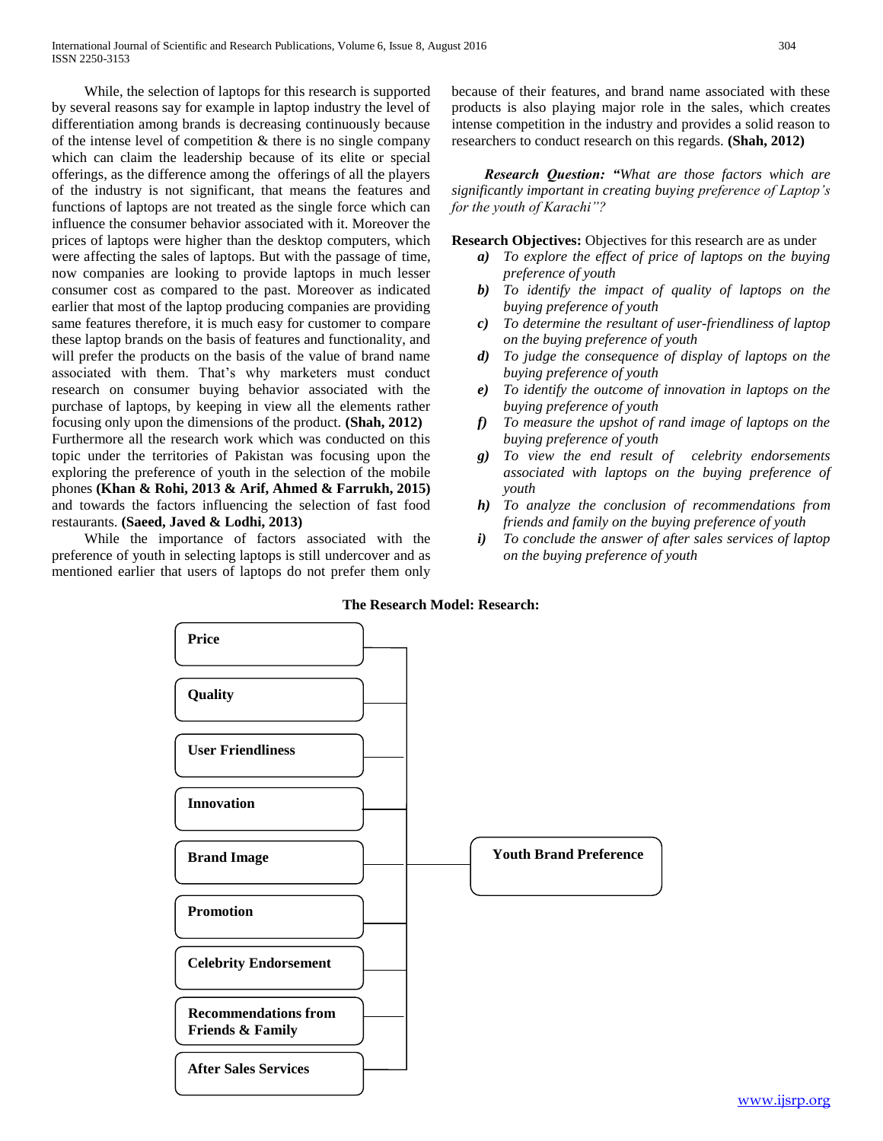While, the selection of laptops for this research is supported by several reasons say for example in laptop industry the level of differentiation among brands is decreasing continuously because of the intense level of competition  $\&$  there is no single company which can claim the leadership because of its elite or special offerings, as the difference among the offerings of all the players of the industry is not significant, that means the features and functions of laptops are not treated as the single force which can influence the consumer behavior associated with it. Moreover the prices of laptops were higher than the desktop computers, which were affecting the sales of laptops. But with the passage of time, now companies are looking to provide laptops in much lesser consumer cost as compared to the past. Moreover as indicated earlier that most of the laptop producing companies are providing same features therefore, it is much easy for customer to compare these laptop brands on the basis of features and functionality, and will prefer the products on the basis of the value of brand name associated with them. That's why marketers must conduct research on consumer buying behavior associated with the purchase of laptops, by keeping in view all the elements rather focusing only upon the dimensions of the product. **(Shah, 2012)** Furthermore all the research work which was conducted on this topic under the territories of Pakistan was focusing upon the exploring the preference of youth in the selection of the mobile phones **(Khan & Rohi, 2013 & Arif, Ahmed & Farrukh, 2015)**  and towards the factors influencing the selection of fast food restaurants. **(Saeed, Javed & Lodhi, 2013)**

 While the importance of factors associated with the preference of youth in selecting laptops is still undercover and as mentioned earlier that users of laptops do not prefer them only because of their features, and brand name associated with these products is also playing major role in the sales, which creates intense competition in the industry and provides a solid reason to researchers to conduct research on this regards. **(Shah, 2012)**

 *Research Question: "What are those factors which are significantly important in creating buying preference of Laptop's for the youth of Karachi"?*

**Research Objectives:** Objectives for this research are as under

- *a) To explore the effect of price of laptops on the buying preference of youth*
- *b) To identify the impact of quality of laptops on the buying preference of youth*
- *c) To determine the resultant of user-friendliness of laptop on the buying preference of youth*
- *d) To judge the consequence of display of laptops on the buying preference of youth*
- *e) To identify the outcome of innovation in laptops on the buying preference of youth*
- *f) To measure the upshot of rand image of laptops on the buying preference of youth*
- *g) To view the end result of celebrity endorsements associated with laptops on the buying preference of youth*
- *h) To analyze the conclusion of recommendations from friends and family on the buying preference of youth*
- *i) To conclude the answer of after sales services of laptop on the buying preference of youth*

# **The Research Model: Research:**

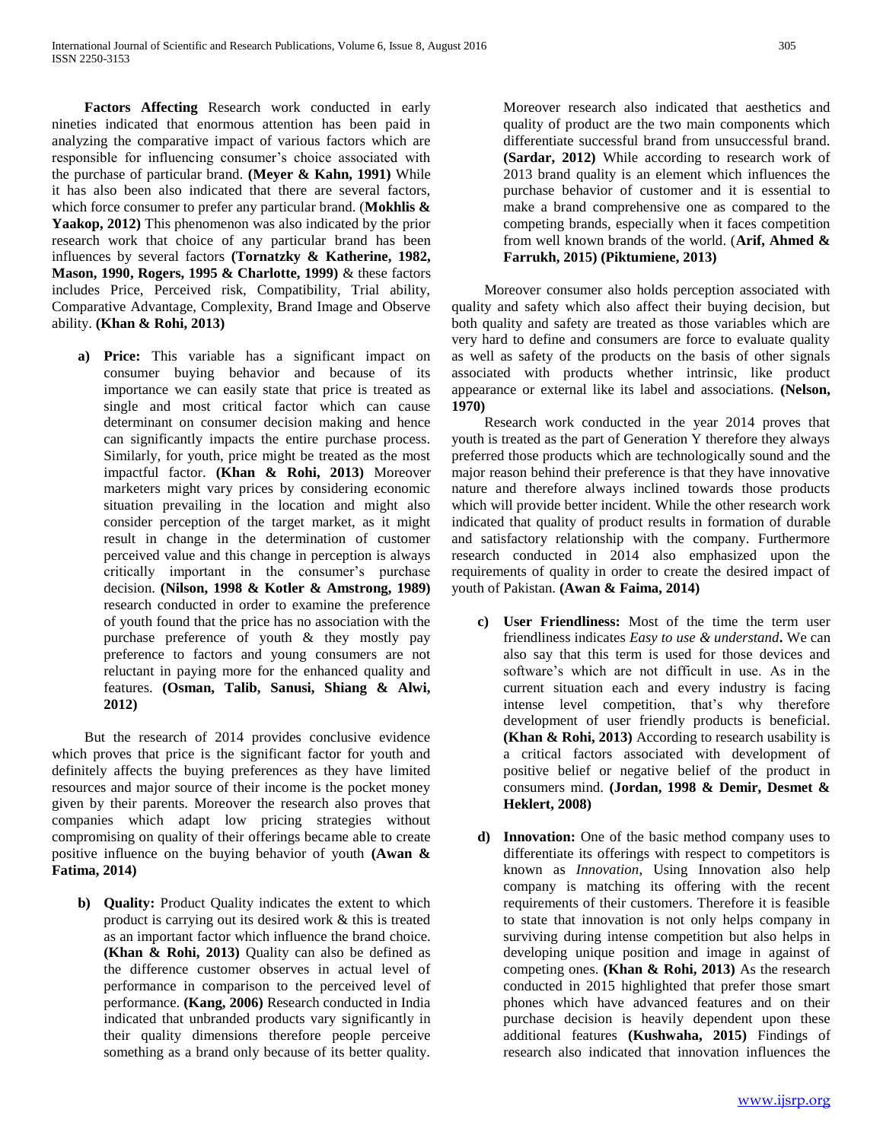**Factors Affecting** Research work conducted in early nineties indicated that enormous attention has been paid in analyzing the comparative impact of various factors which are responsible for influencing consumer's choice associated with the purchase of particular brand. **(Meyer & Kahn, 1991)** While it has also been also indicated that there are several factors, which force consumer to prefer any particular brand. (**Mokhlis &**  Yaakop, 2012) This phenomenon was also indicated by the prior research work that choice of any particular brand has been influences by several factors **(Tornatzky & Katherine, 1982, Mason, 1990, Rogers, 1995 & Charlotte, 1999)** & these factors includes Price, Perceived risk, Compatibility, Trial ability, Comparative Advantage, Complexity, Brand Image and Observe ability. **(Khan & Rohi, 2013)** 

**a) Price:** This variable has a significant impact on consumer buying behavior and because of its importance we can easily state that price is treated as single and most critical factor which can cause determinant on consumer decision making and hence can significantly impacts the entire purchase process. Similarly, for youth, price might be treated as the most impactful factor. **(Khan & Rohi, 2013)** Moreover marketers might vary prices by considering economic situation prevailing in the location and might also consider perception of the target market, as it might result in change in the determination of customer perceived value and this change in perception is always critically important in the consumer's purchase decision. **(Nilson, 1998 & Kotler & Amstrong, 1989)**  research conducted in order to examine the preference of youth found that the price has no association with the purchase preference of youth & they mostly pay preference to factors and young consumers are not reluctant in paying more for the enhanced quality and features. **(Osman, Talib, Sanusi, Shiang & Alwi, 2012)** 

But the research of 2014 provides conclusive evidence which proves that price is the significant factor for youth and definitely affects the buying preferences as they have limited resources and major source of their income is the pocket money given by their parents. Moreover the research also proves that companies which adapt low pricing strategies without compromising on quality of their offerings became able to create positive influence on the buying behavior of youth **(Awan & Fatima, 2014)** 

**b) Quality:** Product Quality indicates the extent to which product is carrying out its desired work & this is treated as an important factor which influence the brand choice. **(Khan & Rohi, 2013)** Quality can also be defined as the difference customer observes in actual level of performance in comparison to the perceived level of performance. **(Kang, 2006)** Research conducted in India indicated that unbranded products vary significantly in their quality dimensions therefore people perceive something as a brand only because of its better quality.

Moreover research also indicated that aesthetics and quality of product are the two main components which differentiate successful brand from unsuccessful brand. **(Sardar, 2012)** While according to research work of 2013 brand quality is an element which influences the purchase behavior of customer and it is essential to make a brand comprehensive one as compared to the competing brands, especially when it faces competition from well known brands of the world. (**Arif, Ahmed & Farrukh, 2015) (Piktumiene, 2013)**

Moreover consumer also holds perception associated with quality and safety which also affect their buying decision, but both quality and safety are treated as those variables which are very hard to define and consumers are force to evaluate quality as well as safety of the products on the basis of other signals associated with products whether intrinsic, like product appearance or external like its label and associations. **(Nelson, 1970)** 

Research work conducted in the year 2014 proves that youth is treated as the part of Generation Y therefore they always preferred those products which are technologically sound and the major reason behind their preference is that they have innovative nature and therefore always inclined towards those products which will provide better incident. While the other research work indicated that quality of product results in formation of durable and satisfactory relationship with the company. Furthermore research conducted in 2014 also emphasized upon the requirements of quality in order to create the desired impact of youth of Pakistan. **(Awan & Faima, 2014)** 

- **c) User Friendliness:** Most of the time the term user friendliness indicates *Easy to use & understand***.** We can also say that this term is used for those devices and software's which are not difficult in use. As in the current situation each and every industry is facing intense level competition, that's why therefore development of user friendly products is beneficial. **(Khan & Rohi, 2013)** According to research usability is a critical factors associated with development of positive belief or negative belief of the product in consumers mind. **(Jordan, 1998 & Demir, Desmet & Heklert, 2008)**
- **d) Innovation:** One of the basic method company uses to differentiate its offerings with respect to competitors is known as *Innovation*, Using Innovation also help company is matching its offering with the recent requirements of their customers. Therefore it is feasible to state that innovation is not only helps company in surviving during intense competition but also helps in developing unique position and image in against of competing ones. **(Khan & Rohi, 2013)** As the research conducted in 2015 highlighted that prefer those smart phones which have advanced features and on their purchase decision is heavily dependent upon these additional features **(Kushwaha, 2015)** Findings of research also indicated that innovation influences the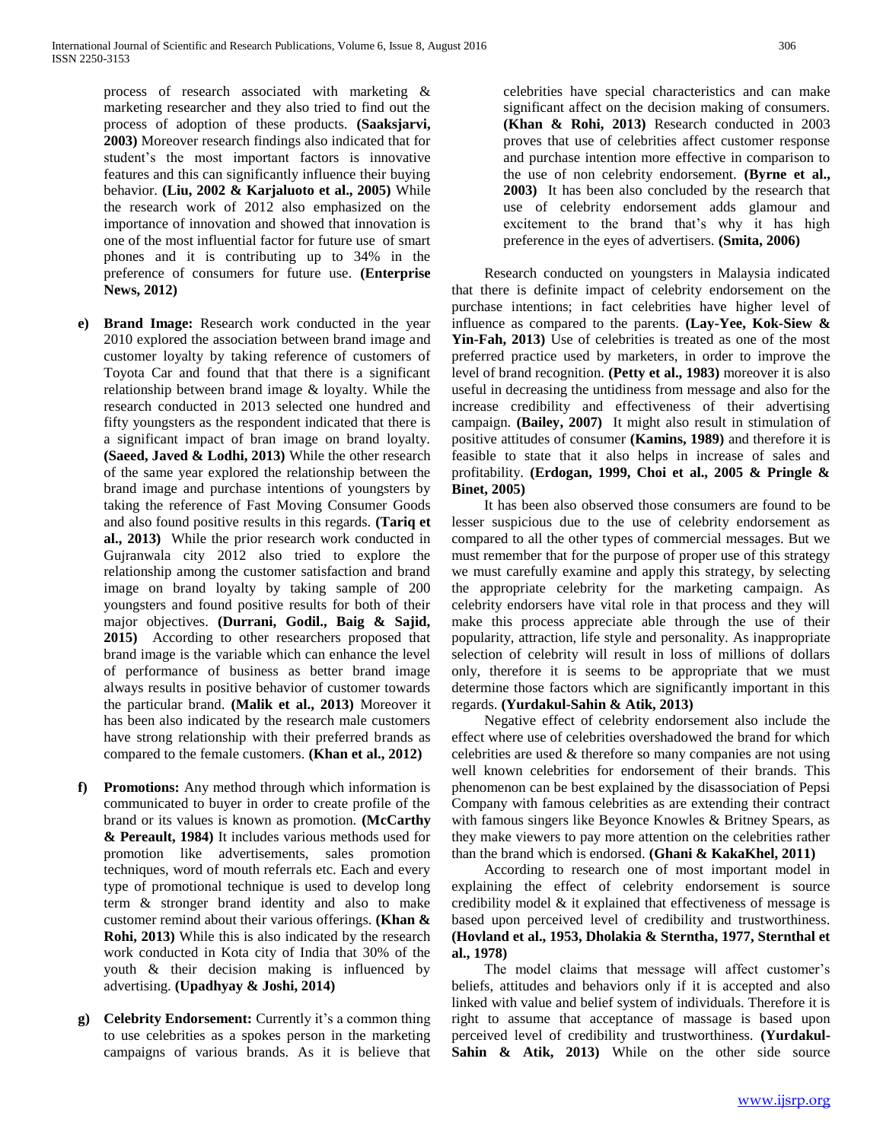process of research associated with marketing & marketing researcher and they also tried to find out the process of adoption of these products. **(Saaksjarvi, 2003)** Moreover research findings also indicated that for student's the most important factors is innovative features and this can significantly influence their buying behavior. **(Liu, 2002 & Karjaluoto et al., 2005)** While the research work of 2012 also emphasized on the importance of innovation and showed that innovation is one of the most influential factor for future use of smart phones and it is contributing up to 34% in the preference of consumers for future use. **(Enterprise News, 2012)** 

- **e) Brand Image:** Research work conducted in the year 2010 explored the association between brand image and customer loyalty by taking reference of customers of Toyota Car and found that that there is a significant relationship between brand image & loyalty. While the research conducted in 2013 selected one hundred and fifty youngsters as the respondent indicated that there is a significant impact of bran image on brand loyalty. **(Saeed, Javed & Lodhi, 2013)** While the other research of the same year explored the relationship between the brand image and purchase intentions of youngsters by taking the reference of Fast Moving Consumer Goods and also found positive results in this regards. **(Tariq et al., 2013)** While the prior research work conducted in Gujranwala city 2012 also tried to explore the relationship among the customer satisfaction and brand image on brand loyalty by taking sample of 200 youngsters and found positive results for both of their major objectives. **(Durrani, Godil., Baig & Sajid, 2015)** According to other researchers proposed that brand image is the variable which can enhance the level of performance of business as better brand image always results in positive behavior of customer towards the particular brand. **(Malik et al., 2013)** Moreover it has been also indicated by the research male customers have strong relationship with their preferred brands as compared to the female customers. **(Khan et al., 2012)**
- **f) Promotions:** Any method through which information is communicated to buyer in order to create profile of the brand or its values is known as promotion. **(McCarthy & Pereault, 1984)** It includes various methods used for promotion like advertisements, sales promotion techniques, word of mouth referrals etc. Each and every type of promotional technique is used to develop long term & stronger brand identity and also to make customer remind about their various offerings. **(Khan & Rohi, 2013)** While this is also indicated by the research work conducted in Kota city of India that 30% of the youth & their decision making is influenced by advertising. **(Upadhyay & Joshi, 2014)**
- **g) Celebrity Endorsement:** Currently it's a common thing to use celebrities as a spokes person in the marketing campaigns of various brands. As it is believe that

celebrities have special characteristics and can make significant affect on the decision making of consumers. **(Khan & Rohi, 2013)** Research conducted in 2003 proves that use of celebrities affect customer response and purchase intention more effective in comparison to the use of non celebrity endorsement. **(Byrne et al., 2003)** It has been also concluded by the research that use of celebrity endorsement adds glamour and excitement to the brand that's why it has high preference in the eyes of advertisers. **(Smita, 2006)** 

Research conducted on youngsters in Malaysia indicated that there is definite impact of celebrity endorsement on the purchase intentions; in fact celebrities have higher level of influence as compared to the parents. **(Lay-Yee, Kok-Siew & Yin-Fah, 2013)** Use of celebrities is treated as one of the most preferred practice used by marketers, in order to improve the level of brand recognition. **(Petty et al., 1983)** moreover it is also useful in decreasing the untidiness from message and also for the increase credibility and effectiveness of their advertising campaign. **(Bailey, 2007)** It might also result in stimulation of positive attitudes of consumer **(Kamins, 1989)** and therefore it is feasible to state that it also helps in increase of sales and profitability. **(Erdogan, 1999, Choi et al., 2005 & Pringle & Binet, 2005)** 

It has been also observed those consumers are found to be lesser suspicious due to the use of celebrity endorsement as compared to all the other types of commercial messages. But we must remember that for the purpose of proper use of this strategy we must carefully examine and apply this strategy, by selecting the appropriate celebrity for the marketing campaign. As celebrity endorsers have vital role in that process and they will make this process appreciate able through the use of their popularity, attraction, life style and personality. As inappropriate selection of celebrity will result in loss of millions of dollars only, therefore it is seems to be appropriate that we must determine those factors which are significantly important in this regards. **(Yurdakul-Sahin & Atik, 2013)** 

Negative effect of celebrity endorsement also include the effect where use of celebrities overshadowed the brand for which celebrities are used & therefore so many companies are not using well known celebrities for endorsement of their brands. This phenomenon can be best explained by the disassociation of Pepsi Company with famous celebrities as are extending their contract with famous singers like Beyonce Knowles & Britney Spears, as they make viewers to pay more attention on the celebrities rather than the brand which is endorsed. **(Ghani & KakaKhel, 2011)**

According to research one of most important model in explaining the effect of celebrity endorsement is source credibility model & it explained that effectiveness of message is based upon perceived level of credibility and trustworthiness. **(Hovland et al., 1953, Dholakia & Sterntha, 1977, Sternthal et al., 1978)** 

The model claims that message will affect customer's beliefs, attitudes and behaviors only if it is accepted and also linked with value and belief system of individuals. Therefore it is right to assume that acceptance of massage is based upon perceived level of credibility and trustworthiness. **(Yurdakul-Sahin & Atik, 2013)** While on the other side source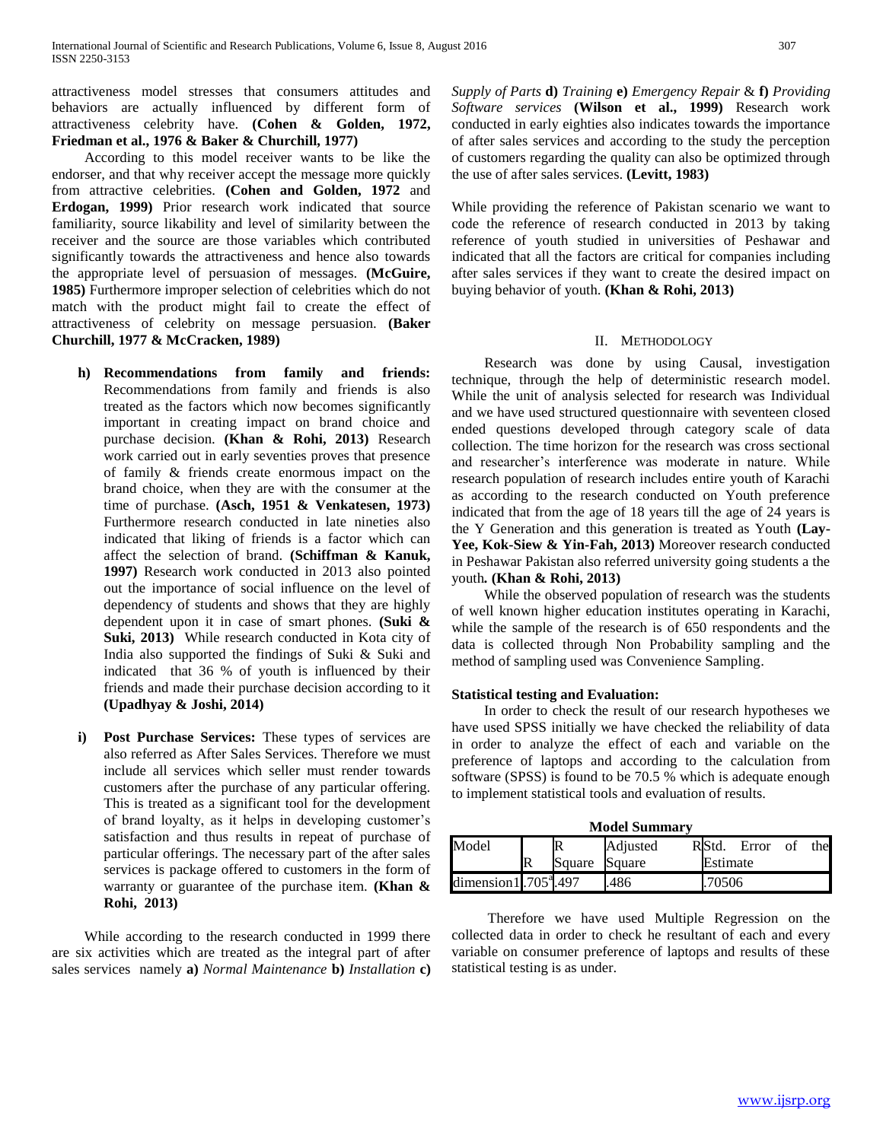attractiveness model stresses that consumers attitudes and behaviors are actually influenced by different form of attractiveness celebrity have. **(Cohen & Golden, 1972, Friedman et al., 1976 & Baker & Churchill, 1977)** 

According to this model receiver wants to be like the endorser, and that why receiver accept the message more quickly from attractive celebrities. **(Cohen and Golden, 1972** and **Erdogan, 1999)** Prior research work indicated that source familiarity, source likability and level of similarity between the receiver and the source are those variables which contributed significantly towards the attractiveness and hence also towards the appropriate level of persuasion of messages. **(McGuire, 1985)** Furthermore improper selection of celebrities which do not match with the product might fail to create the effect of attractiveness of celebrity on message persuasion. **(Baker Churchill, 1977 & McCracken, 1989)** 

- **h) Recommendations from family and friends:**  Recommendations from family and friends is also treated as the factors which now becomes significantly important in creating impact on brand choice and purchase decision. **(Khan & Rohi, 2013)** Research work carried out in early seventies proves that presence of family & friends create enormous impact on the brand choice, when they are with the consumer at the time of purchase. **(Asch, 1951 & Venkatesen, 1973)**  Furthermore research conducted in late nineties also indicated that liking of friends is a factor which can affect the selection of brand. **(Schiffman & Kanuk, 1997)** Research work conducted in 2013 also pointed out the importance of social influence on the level of dependency of students and shows that they are highly dependent upon it in case of smart phones. **(Suki & Suki, 2013)** While research conducted in Kota city of India also supported the findings of Suki & Suki and indicated that 36 % of youth is influenced by their friends and made their purchase decision according to it **(Upadhyay & Joshi, 2014)**
- **i) Post Purchase Services:** These types of services are also referred as After Sales Services. Therefore we must include all services which seller must render towards customers after the purchase of any particular offering. This is treated as a significant tool for the development of brand loyalty, as it helps in developing customer's satisfaction and thus results in repeat of purchase of particular offerings. The necessary part of the after sales services is package offered to customers in the form of warranty or guarantee of the purchase item. **(Khan & Rohi, 2013)**

While according to the research conducted in 1999 there are six activities which are treated as the integral part of after sales services namely **a)** *Normal Maintenance* **b)** *Installation* **c)**  *Supply of Parts* **d)** *Training* **e)** *Emergency Repair* & **f)** *Providing Software services* **(Wilson et al., 1999)** Research work conducted in early eighties also indicates towards the importance of after sales services and according to the study the perception of customers regarding the quality can also be optimized through the use of after sales services. **(Levitt, 1983)** 

While providing the reference of Pakistan scenario we want to code the reference of research conducted in 2013 by taking reference of youth studied in universities of Peshawar and indicated that all the factors are critical for companies including after sales services if they want to create the desired impact on buying behavior of youth. **(Khan & Rohi, 2013)** 

## II. METHODOLOGY

Research was done by using Causal, investigation technique, through the help of deterministic research model. While the unit of analysis selected for research was Individual and we have used structured questionnaire with seventeen closed ended questions developed through category scale of data collection. The time horizon for the research was cross sectional and researcher's interference was moderate in nature. While research population of research includes entire youth of Karachi as according to the research conducted on Youth preference indicated that from the age of 18 years till the age of 24 years is the Y Generation and this generation is treated as Youth **(Lay-Yee, Kok-Siew & Yin-Fah, 2013)** Moreover research conducted in Peshawar Pakistan also referred university going students a the youth*.* **(Khan & Rohi, 2013)** 

While the observed population of research was the students of well known higher education institutes operating in Karachi, while the sample of the research is of 650 respondents and the data is collected through Non Probability sampling and the method of sampling used was Convenience Sampling.

# **Statistical testing and Evaluation:**

In order to check the result of our research hypotheses we have used SPSS initially we have checked the reliability of data in order to analyze the effect of each and variable on the preference of laptops and according to the calculation from software (SPSS) is found to be 70.5 % which is adequate enough to implement statistical tools and evaluation of results.

**Model Summary**

| Model                         |  |               | Adjusted | RStd.    | Error | Ωt | thel |  |  |  |  |  |
|-------------------------------|--|---------------|----------|----------|-------|----|------|--|--|--|--|--|
|                               |  | Square Square |          | Estimate |       |    |      |  |  |  |  |  |
| dimension1.705 $^{\circ}$ 497 |  |               | 486      | 70506    |       |    |      |  |  |  |  |  |

 Therefore we have used Multiple Regression on the collected data in order to check he resultant of each and every variable on consumer preference of laptops and results of these statistical testing is as under.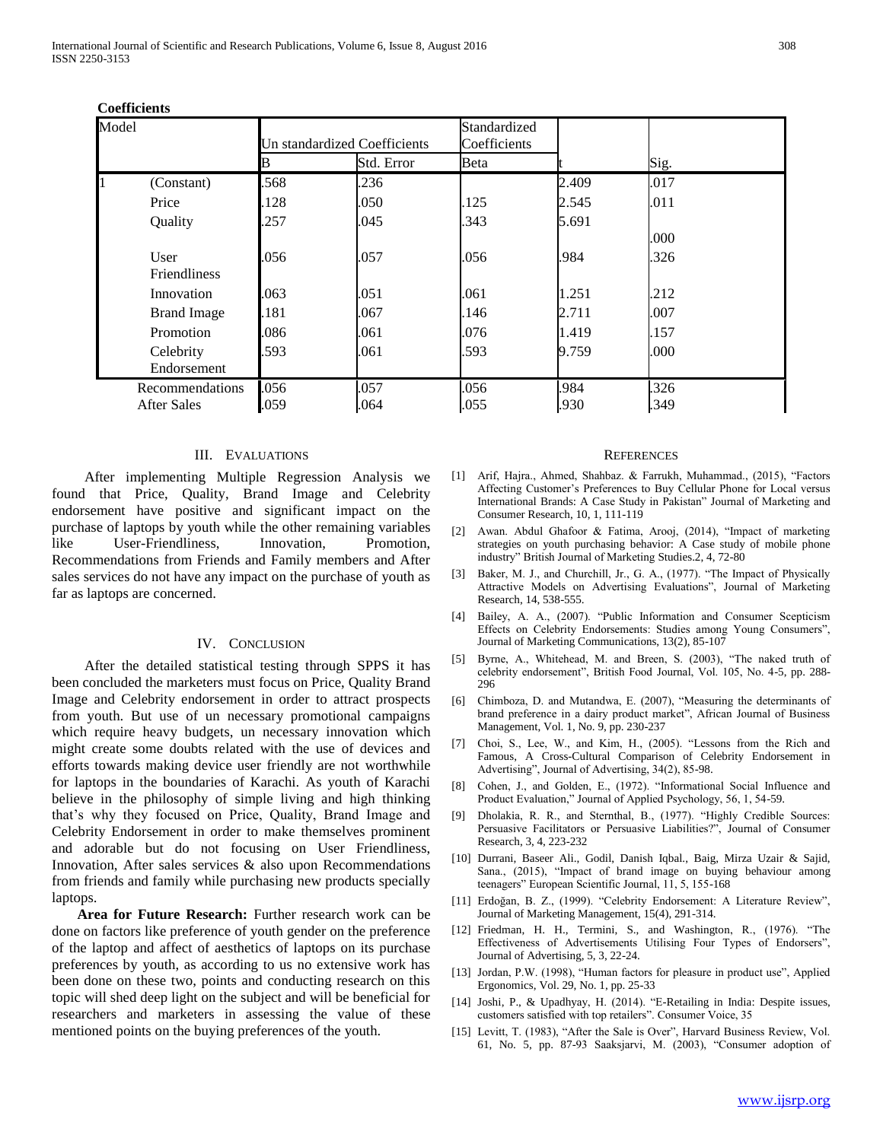| Model |                                       | Un standardized Coefficients |              | Standardized<br>Coefficients |              |              |  |  |  |  |
|-------|---------------------------------------|------------------------------|--------------|------------------------------|--------------|--------------|--|--|--|--|
|       |                                       | В                            | Std. Error   | Beta                         |              | Sig.         |  |  |  |  |
|       | (Constant)                            | .568                         | .236         |                              | 2.409        | .017         |  |  |  |  |
|       | Price                                 | 128                          | .050         | .125                         | 2.545        | .011         |  |  |  |  |
|       | Quality                               | .257                         | .045         | .343                         | 5.691        |              |  |  |  |  |
|       |                                       |                              |              |                              |              | .000         |  |  |  |  |
|       | User<br><b>Friendliness</b>           | .056                         | .057         | .056                         | .984         | .326         |  |  |  |  |
|       | Innovation                            | .063                         | .051         | .061                         | 1.251        | .212         |  |  |  |  |
|       | <b>Brand Image</b>                    | .181                         | .067         | .146                         | 2.711        | .007         |  |  |  |  |
|       | Promotion                             | .086                         | .061         | .076                         | 1.419        | 157          |  |  |  |  |
|       | Celebrity<br>Endorsement              | .593                         | .061         | .593                         | 9.759        | .000         |  |  |  |  |
|       | Recommendations<br><b>After Sales</b> | .056<br>.059                 | .057<br>.064 | .056<br>.055                 | .984<br>.930 | .326<br>.349 |  |  |  |  |

#### **Coefficients**

#### III. EVALUATIONS

After implementing Multiple Regression Analysis we found that Price, Quality, Brand Image and Celebrity endorsement have positive and significant impact on the purchase of laptops by youth while the other remaining variables like User-Friendliness, Innovation, Promotion, Recommendations from Friends and Family members and After sales services do not have any impact on the purchase of youth as far as laptops are concerned.

## IV. CONCLUSION

After the detailed statistical testing through SPPS it has been concluded the marketers must focus on Price, Quality Brand Image and Celebrity endorsement in order to attract prospects from youth. But use of un necessary promotional campaigns which require heavy budgets, un necessary innovation which might create some doubts related with the use of devices and efforts towards making device user friendly are not worthwhile for laptops in the boundaries of Karachi. As youth of Karachi believe in the philosophy of simple living and high thinking that's why they focused on Price, Quality, Brand Image and Celebrity Endorsement in order to make themselves prominent and adorable but do not focusing on User Friendliness, Innovation, After sales services & also upon Recommendations from friends and family while purchasing new products specially laptops.

 **Area for Future Research:** Further research work can be done on factors like preference of youth gender on the preference of the laptop and affect of aesthetics of laptops on its purchase preferences by youth, as according to us no extensive work has been done on these two, points and conducting research on this topic will shed deep light on the subject and will be beneficial for researchers and marketers in assessing the value of these mentioned points on the buying preferences of the youth.

#### **REFERENCES**

- [1] Arif, Hajra., Ahmed, Shahbaz. & Farrukh, Muhammad., (2015), "Factors Affecting Customer's Preferences to Buy Cellular Phone for Local versus International Brands: A Case Study in Pakistan" Journal of Marketing and Consumer Research, 10, 1, 111-119
- [2] Awan. Abdul Ghafoor & Fatima, Arooj, (2014), "Impact of marketing strategies on youth purchasing behavior: A Case study of mobile phone industry" British Journal of Marketing Studies.2, 4, 72-80
- [3] Baker, M. J., and Churchill, Jr., G. A., (1977). "The Impact of Physically Attractive Models on Advertising Evaluations", Journal of Marketing Research, 14, 538-555.
- [4] Bailey, A. A., (2007). "Public Information and Consumer Scepticism Effects on Celebrity Endorsements: Studies among Young Consumers", Journal of Marketing Communications, 13(2), 85-107
- [5] Byrne, A., Whitehead, M. and Breen, S. (2003), "The naked truth of celebrity endorsement", British Food Journal, Vol. 105, No. 4-5, pp. 288- 296
- [6] Chimboza, D. and Mutandwa, E. (2007), "Measuring the determinants of brand preference in a dairy product market", African Journal of Business Management, Vol. 1, No. 9, pp. 230-237
- [7] Choi, S., Lee, W., and Kim, H., (2005). "Lessons from the Rich and Famous, A Cross-Cultural Comparison of Celebrity Endorsement in Advertising", Journal of Advertising, 34(2), 85-98.
- [8] Cohen, J., and Golden, E., (1972). "Informational Social Influence and Product Evaluation," Journal of Applied Psychology, 56, 1, 54-59.
- [9] Dholakia, R. R., and Sternthal, B., (1977). "Highly Credible Sources: Persuasive Facilitators or Persuasive Liabilities?", Journal of Consumer Research, 3, 4, 223-232
- [10] Durrani, Baseer Ali., Godil, Danish Iqbal., Baig, Mirza Uzair & Sajid, Sana., (2015), "Impact of brand image on buying behaviour among teenagers" European Scientific Journal, 11, 5, 155-168
- [11] Erdoğan, B. Z., (1999). "Celebrity Endorsement: A Literature Review", Journal of Marketing Management, 15(4), 291-314.
- [12] Friedman, H. H., Termini, S., and Washington, R., (1976). "The Effectiveness of Advertisements Utilising Four Types of Endorsers", Journal of Advertising, 5, 3, 22-24.
- [13] Jordan, P.W. (1998), "Human factors for pleasure in product use", Applied Ergonomics, Vol. 29, No. 1, pp. 25-33
- [14] Joshi, P., & Upadhyay, H. (2014). "E-Retailing in India: Despite issues, customers satisfied with top retailers". Consumer Voice, 35
- [15] Levitt, T. (1983), "After the Sale is Over", Harvard Business Review, Vol. 61, No. 5, pp. 87-93 Saaksjarvi, M. (2003), "Consumer adoption of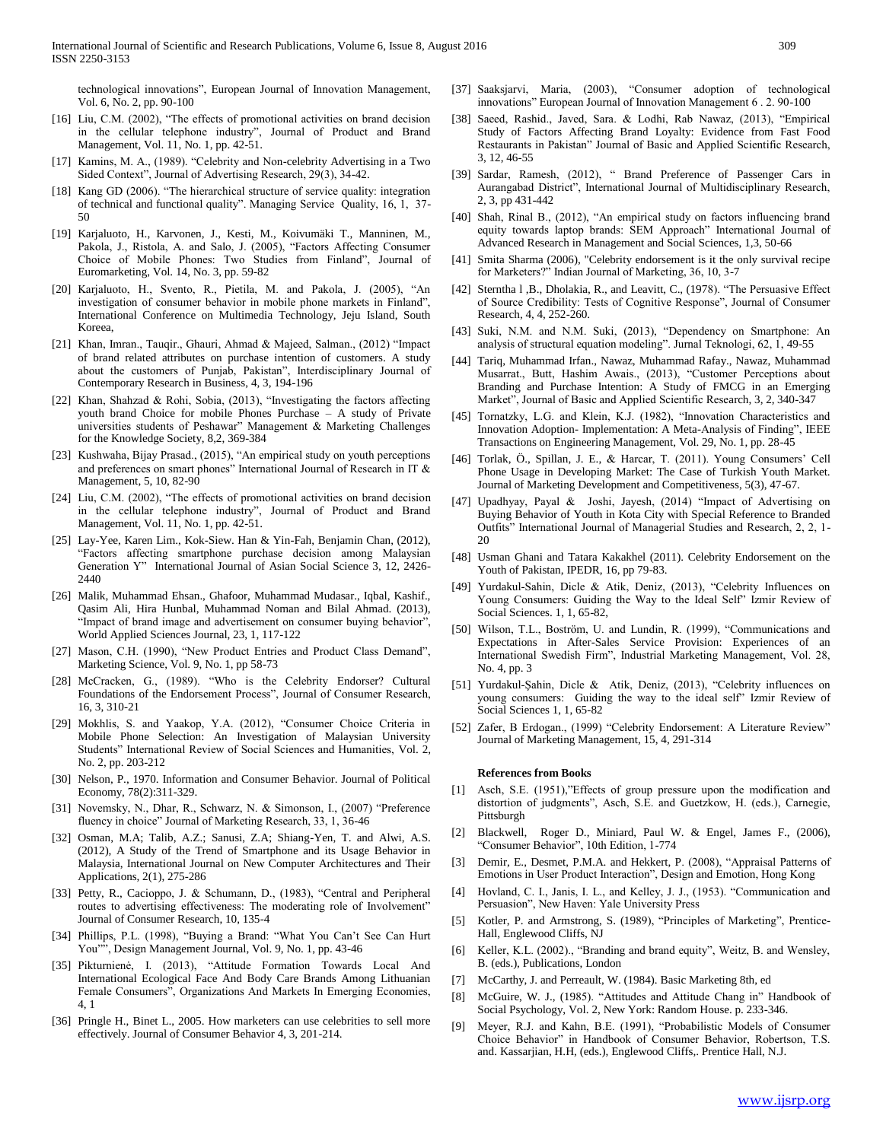technological innovations", European Journal of Innovation Management, Vol. 6, No. 2, pp. 90-100

- [16] Liu, C.M. (2002), "The effects of promotional activities on brand decision in the cellular telephone industry", Journal of Product and Brand Management, Vol. 11, No. 1, pp. 42-51.
- [17] Kamins, M. A., (1989). "Celebrity and Non-celebrity Advertising in a Two Sided Context", Journal of Advertising Research, 29(3), 34-42.
- [18] Kang GD (2006). "The hierarchical structure of service quality: integration of technical and functional quality". Managing Service Quality, 16, 1, 37- 50
- [19] Karjaluoto, H., Karvonen, J., Kesti, M., Koivumäki T., Manninen, M., Pakola, J., Ristola, A. and Salo, J. (2005), "Factors Affecting Consumer Choice of Mobile Phones: Two Studies from Finland", Journal of Euromarketing, Vol. 14, No. 3, pp. 59-82
- [20] Karjaluoto, H., Svento, R., Pietila, M. and Pakola, J. (2005), "An investigation of consumer behavior in mobile phone markets in Finland", International Conference on Multimedia Technology, Jeju Island, South Koreea,
- [21] Khan, Imran., Tauqir., Ghauri, Ahmad & Majeed, Salman., (2012) "Impact of brand related attributes on purchase intention of customers. A study about the customers of Punjab, Pakistan", Interdisciplinary Journal of Contemporary Research in Business, 4, 3, 194-196
- [22] Khan, Shahzad & Rohi, Sobia, (2013), "Investigating the factors affecting youth brand Choice for mobile Phones Purchase – A study of Private universities students of Peshawar" Management & Marketing Challenges for the Knowledge Society, 8,2, 369-384
- [23] Kushwaha, Bijay Prasad., (2015), "An empirical study on youth perceptions and preferences on smart phones" International Journal of Research in IT & Management, 5, 10, 82-90
- [24] Liu, C.M. (2002), "The effects of promotional activities on brand decision in the cellular telephone industry", Journal of Product and Brand Management, Vol. 11, No. 1, pp. 42-51.
- [25] Lay-Yee, Karen Lim., Kok-Siew. Han & Yin-Fah, Benjamin Chan, (2012), "Factors affecting smartphone purchase decision among Malaysian Generation Y" International Journal of Asian Social Science 3, 12, 2426- 2440
- [26] Malik, Muhammad Ehsan., Ghafoor, Muhammad Mudasar., Iqbal, Kashif., Qasim Ali, Hira Hunbal, Muhammad Noman and Bilal Ahmad. (2013), "Impact of brand image and advertisement on consumer buying behavior", World Applied Sciences Journal, 23, 1, 117-122
- [27] Mason, C.H. (1990), "New Product Entries and Product Class Demand", Marketing Science, Vol. 9, No. 1, pp 58-73
- [28] McCracken, G., (1989). "Who is the Celebrity Endorser? Cultural Foundations of the Endorsement Process", Journal of Consumer Research, 16, 3, 310-21
- [29] Mokhlis, S. and Yaakop, Y.A. (2012), "Consumer Choice Criteria in Mobile Phone Selection: An Investigation of Malaysian University Students" International Review of Social Sciences and Humanities, Vol. 2, No. 2, pp. 203-212
- [30] Nelson, P., 1970. Information and Consumer Behavior. Journal of Political Economy, 78(2):311-329.
- [31] Novemsky, N., Dhar, R., Schwarz, N. & Simonson, I., (2007) "Preference fluency in choice" Journal of Marketing Research, 33, 1, 36-46
- [32] Osman, M.A; Talib, A.Z.; Sanusi, Z.A; Shiang-Yen, T. and Alwi, A.S. (2012), A Study of the Trend of Smartphone and its Usage Behavior in Malaysia, International Journal on New Computer Architectures and Their Applications, 2(1), 275-286
- [33] Petty, R., Cacioppo, J. & Schumann, D., (1983), "Central and Peripheral routes to advertising effectiveness: The moderating role of Involvement" Journal of Consumer Research, 10, 135-4
- [34] Phillips, P.L. (1998), "Buying a Brand: "What You Can't See Can Hurt You"", Design Management Journal, Vol. 9, No. 1, pp. 43-46
- [35] Pikturnienė, I. (2013), "Attitude Formation Towards Local And International Ecological Face And Body Care Brands Among Lithuanian Female Consumers", Organizations And Markets In Emerging Economies, 4, 1
- [36] Pringle H., Binet L., 2005. How marketers can use celebrities to sell more effectively. Journal of Consumer Behavior 4, 3, 201-214.
- [37] Saaksjarvi, Maria, (2003), "Consumer adoption of technological innovations" European Journal of Innovation Management 6 . 2. 90-100
- [38] Saeed, Rashid., Javed, Sara. & Lodhi, Rab Nawaz, (2013), "Empirical Study of Factors Affecting Brand Loyalty: Evidence from Fast Food Restaurants in Pakistan" Journal of Basic and Applied Scientific Research, 3, 12, 46-55
- [39] Sardar, Ramesh, (2012), " Brand Preference of Passenger Cars in Aurangabad District", International Journal of Multidisciplinary Research, 2, 3, pp 431-442
- [40] Shah, Rinal B., (2012), "An empirical study on factors influencing brand equity towards laptop brands: SEM Approach" International Journal of Advanced Research in Management and Social Sciences, 1,3, 50-66
- [41] Smita Sharma (2006), "Celebrity endorsement is it the only survival recipe for Marketers?" Indian Journal of Marketing, 36, 10, 3-7
- [42] Sterntha 1, B., Dholakia, R., and Leavitt, C., (1978). "The Persuasive Effect of Source Credibility: Tests of Cognitive Response", Journal of Consumer Research, 4, 4, 252-260.
- [43] Suki, N.M. and N.M. Suki, (2013), "Dependency on Smartphone: An analysis of structural equation modeling". Jurnal Teknologi, 62, 1, 49-55
- [44] Tariq, Muhammad Irfan., Nawaz, Muhammad Rafay., Nawaz, Muhammad Musarrat., Butt, Hashim Awais., (2013), "Customer Perceptions about Branding and Purchase Intention: A Study of FMCG in an Emerging Market", Journal of Basic and Applied Scientific Research, 3, 2, 340-347
- [45] Tornatzky, L.G. and Klein, K.J. (1982), "Innovation Characteristics and Innovation Adoption- Implementation: A Meta-Analysis of Finding", IEEE Transactions on Engineering Management, Vol. 29, No. 1, pp. 28-45
- [46] Torlak, Ö., Spillan, J. E., & Harcar, T. (2011). Young Consumers' Cell Phone Usage in Developing Market: The Case of Turkish Youth Market. Journal of Marketing Development and Competitiveness, 5(3), 47-67.
- [47] Upadhyay, Payal & Joshi, Jayesh, (2014) "Impact of Advertising on Buying Behavior of Youth in Kota City with Special Reference to Branded Outfits" International Journal of Managerial Studies and Research, 2, 2, 1- 20
- [48] Usman Ghani and Tatara Kakakhel (2011). Celebrity Endorsement on the Youth of Pakistan, IPEDR, 16, pp 79-83.
- [49] Yurdakul-Sahin, Dicle & Atik, Deniz, (2013), "Celebrity Influences on Young Consumers: Guiding the Way to the Ideal Self" Izmir Review of Social Sciences. 1, 1, 65-82,
- [50] Wilson, T.L., Boström, U. and Lundin, R. (1999), "Communications and Expectations in After-Sales Service Provision: Experiences of an International Swedish Firm", Industrial Marketing Management, Vol. 28, No. 4, pp. 3
- [51] Yurdakul-Şahin, Dicle & Atik, Deniz, (2013), "Celebrity influences on young consumers: Guiding the way to the ideal self" Izmir Review of Social Sciences 1, 1, 65-82
- [52] Zafer, B Erdogan., (1999) "Celebrity Endorsement: A Literature Review" Journal of Marketing Management, 15, 4, 291-314

#### **References from Books**

- [1] Asch, S.E. (1951),"Effects of group pressure upon the modification and distortion of judgments", Asch, S.E. and Guetzkow, H. (eds.), Carnegie, Pittsburgh
- [2] [Blackwell,](https://www.google.com.pk/search?tbo=p&tbm=bks&q=inauthor:%22Roger+D.+Blackwell%22) [Roger D., Miniard,](https://www.google.com.pk/search?tbo=p&tbm=bks&q=inauthor:%22Paul+W.+Miniard%22) Paul W. & [Engel,](https://www.google.com.pk/search?tbo=p&tbm=bks&q=inauthor:%22James+F.+Engel%22) James F., (2006), "Consumer Behavior", 10th Edition, 1-774
- [3] Demir, E., Desmet, P.M.A. and Hekkert, P. (2008), "Appraisal Patterns of Emotions in User Product Interaction", Design and Emotion, Hong Kong
- [4] Hovland, C. I., Janis, I. L., and Kelley, J. J., (1953). "Communication and Persuasion", New Haven: Yale University Press
- [5] Kotler, P. and Armstrong, S. (1989), "Principles of Marketing", Prentice-Hall, Englewood Cliffs, NJ
- [6] Keller, K.L. (2002)., "Branding and brand equity", Weitz, B. and Wensley, B. (eds.), Publications, London
- [7] McCarthy, J. and Perreault, W. (1984). Basic Marketing 8th, ed
- [8] McGuire, W. J., (1985). "Attitudes and Attitude Chang in" Handbook of Social Psychology, Vol. 2, New York: Random House. p. 233-346.
- [9] Meyer, R.J. and Kahn, B.E. (1991), "Probabilistic Models of Consumer Choice Behavior" in Handbook of Consumer Behavior, Robertson, T.S. and. Kassarjian, H.H, (eds.), Englewood Cliffs,. Prentice Hall, N.J.